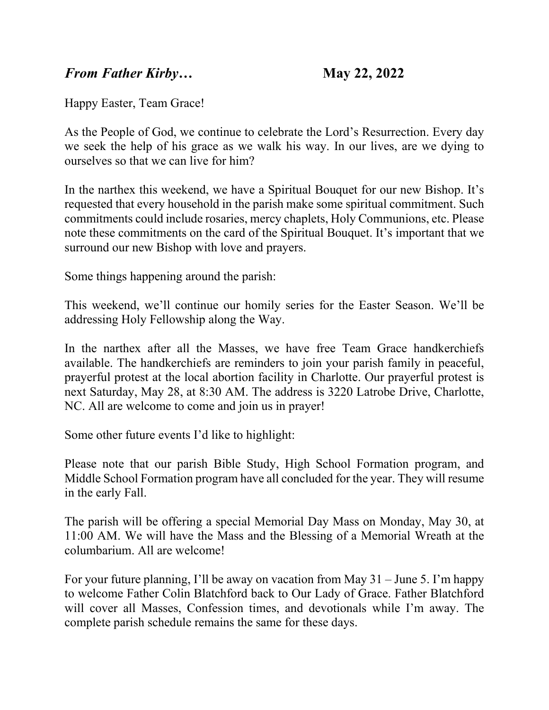## *From Father Kirby…* **May 22, 2022**

Happy Easter, Team Grace!

As the People of God, we continue to celebrate the Lord's Resurrection. Every day we seek the help of his grace as we walk his way. In our lives, are we dying to ourselves so that we can live for him?

In the narthex this weekend, we have a Spiritual Bouquet for our new Bishop. It's requested that every household in the parish make some spiritual commitment. Such commitments could include rosaries, mercy chaplets, Holy Communions, etc. Please note these commitments on the card of the Spiritual Bouquet. It's important that we surround our new Bishop with love and prayers.

Some things happening around the parish:

This weekend, we'll continue our homily series for the Easter Season. We'll be addressing Holy Fellowship along the Way.

In the narthex after all the Masses, we have free Team Grace handkerchiefs available. The handkerchiefs are reminders to join your parish family in peaceful, prayerful protest at the local abortion facility in Charlotte. Our prayerful protest is next Saturday, May 28, at 8:30 AM. The address is 3220 Latrobe Drive, Charlotte, NC. All are welcome to come and join us in prayer!

Some other future events I'd like to highlight:

Please note that our parish Bible Study, High School Formation program, and Middle School Formation program have all concluded for the year. They will resume in the early Fall.

The parish will be offering a special Memorial Day Mass on Monday, May 30, at 11:00 AM. We will have the Mass and the Blessing of a Memorial Wreath at the columbarium. All are welcome!

For your future planning, I'll be away on vacation from May 31 – June 5. I'm happy to welcome Father Colin Blatchford back to Our Lady of Grace. Father Blatchford will cover all Masses, Confession times, and devotionals while I'm away. The complete parish schedule remains the same for these days.